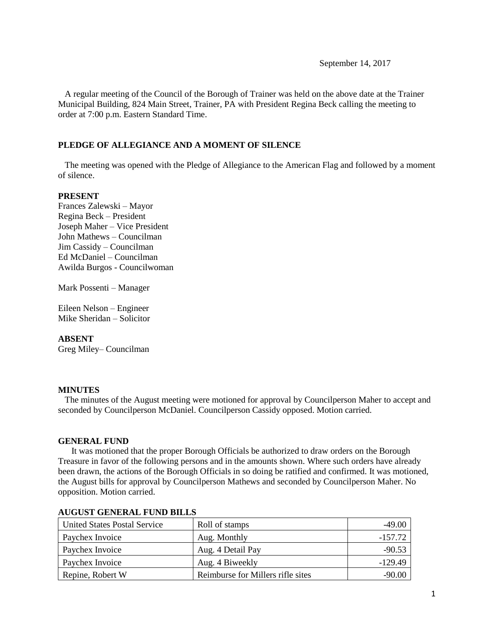September 14, 2017

 A regular meeting of the Council of the Borough of Trainer was held on the above date at the Trainer Municipal Building, 824 Main Street, Trainer, PA with President Regina Beck calling the meeting to order at 7:00 p.m. Eastern Standard Time.

### **PLEDGE OF ALLEGIANCE AND A MOMENT OF SILENCE**

 The meeting was opened with the Pledge of Allegiance to the American Flag and followed by a moment of silence.

### **PRESENT**

Frances Zalewski – Mayor Regina Beck – President Joseph Maher – Vice President John Mathews – Councilman Jim Cassidy – Councilman Ed McDaniel – Councilman Awilda Burgos - Councilwoman

Mark Possenti – Manager

Eileen Nelson – Engineer Mike Sheridan – Solicitor

### **ABSENT**

Greg Miley– Councilman

#### **MINUTES**

The minutes of the August meeting were motioned for approval by Councilperson Maher to accept and seconded by Councilperson McDaniel. Councilperson Cassidy opposed. Motion carried.

### **GENERAL FUND**

 It was motioned that the proper Borough Officials be authorized to draw orders on the Borough Treasure in favor of the following persons and in the amounts shown. Where such orders have already been drawn, the actions of the Borough Officials in so doing be ratified and confirmed. It was motioned, the August bills for approval by Councilperson Mathews and seconded by Councilperson Maher. No opposition. Motion carried.

| United States Postal Service | Roll of stamps                    | $-49.00$  |
|------------------------------|-----------------------------------|-----------|
| Paychex Invoice              | Aug. Monthly                      | $-157.72$ |
| Paychex Invoice              | Aug. 4 Detail Pay                 | $-90.53$  |
| Paychex Invoice              | Aug. 4 Biweekly                   | $-129.49$ |
| Repine, Robert W             | Reimburse for Millers rifle sites | $-90.00$  |

### **AUGUST GENERAL FUND BILLS**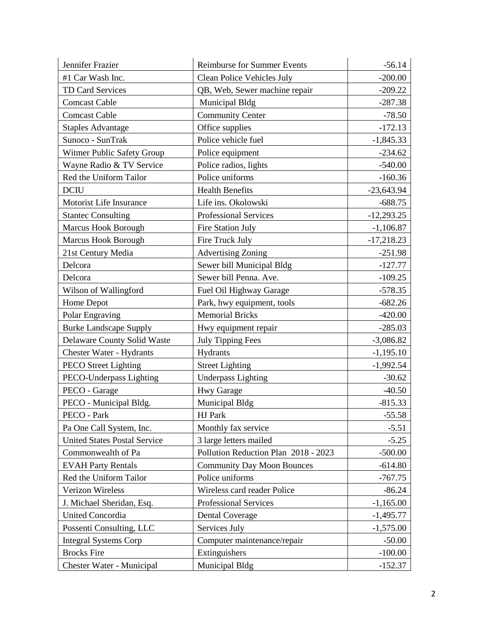| Jennifer Frazier                    | <b>Reimburse for Summer Events</b>   | $-56.14$     |
|-------------------------------------|--------------------------------------|--------------|
| #1 Car Wash Inc.                    | Clean Police Vehicles July           | $-200.00$    |
| <b>TD Card Services</b>             | QB, Web, Sewer machine repair        | $-209.22$    |
| <b>Comcast Cable</b>                | Municipal Bldg                       | $-287.38$    |
| <b>Comcast Cable</b>                | <b>Community Center</b>              | $-78.50$     |
| <b>Staples Advantage</b>            | Office supplies                      | $-172.13$    |
| Sunoco - SunTrak                    | Police vehicle fuel                  | $-1,845.33$  |
| Witmer Public Safety Group          | Police equipment                     | $-234.62$    |
| Wayne Radio & TV Service            | Police radios, lights                | $-540.00$    |
| Red the Uniform Tailor              | Police uniforms                      | $-160.36$    |
| <b>DCIU</b>                         | <b>Health Benefits</b>               | $-23,643.94$ |
| Motorist Life Insurance             | Life ins. Okolowski                  | $-688.75$    |
| <b>Stantec Consulting</b>           | <b>Professional Services</b>         | $-12,293.25$ |
| <b>Marcus Hook Borough</b>          | Fire Station July                    | $-1,106.87$  |
| <b>Marcus Hook Borough</b>          | Fire Truck July                      | $-17,218.23$ |
| 21st Century Media                  | <b>Advertising Zoning</b>            | $-251.98$    |
| Delcora                             | Sewer bill Municipal Bldg            | $-127.77$    |
| Delcora                             | Sewer bill Penna. Ave.               | $-109.25$    |
| Wilson of Wallingford               | Fuel Oil Highway Garage              | $-578.35$    |
| Home Depot                          | Park, hwy equipment, tools           | $-682.26$    |
| Polar Engraving                     | <b>Memorial Bricks</b>               | $-420.00$    |
| <b>Burke Landscape Supply</b>       | Hwy equipment repair                 | $-285.03$    |
| <b>Delaware County Solid Waste</b>  | <b>July Tipping Fees</b>             | $-3,086.82$  |
| Chester Water - Hydrants            | Hydrants                             | $-1,195.10$  |
| <b>PECO</b> Street Lighting         | <b>Street Lighting</b>               | $-1,992.54$  |
| PECO-Underpass Lighting             | <b>Underpass Lighting</b>            | $-30.62$     |
| PECO - Garage                       | <b>Hwy Garage</b>                    | $-40.50$     |
| PECO - Municipal Bldg.              | Municipal Bldg                       | $-815.33$    |
| PECO - Park                         | HJ Park                              | $-55.58$     |
| Pa One Call System, Inc.            | Monthly fax service                  | $-5.51$      |
| <b>United States Postal Service</b> | 3 large letters mailed               | $-5.25$      |
| Commonwealth of Pa                  | Pollution Reduction Plan 2018 - 2023 | $-500.00$    |
| <b>EVAH Party Rentals</b>           | <b>Community Day Moon Bounces</b>    | $-614.80$    |
| Red the Uniform Tailor              | Police uniforms                      | $-767.75$    |
| <b>Verizon Wireless</b>             | Wireless card reader Police          | $-86.24$     |
| J. Michael Sheridan, Esq.           | Professional Services                | $-1,165.00$  |
| <b>United Concordia</b>             | <b>Dental Coverage</b>               | $-1,495.77$  |
| Possenti Consulting, LLC            | Services July                        | $-1,575.00$  |
| <b>Integral Systems Corp</b>        | Computer maintenance/repair          | $-50.00$     |
| <b>Brocks</b> Fire                  | Extinguishers                        | $-100.00$    |
| Chester Water - Municipal           | Municipal Bldg                       | $-152.37$    |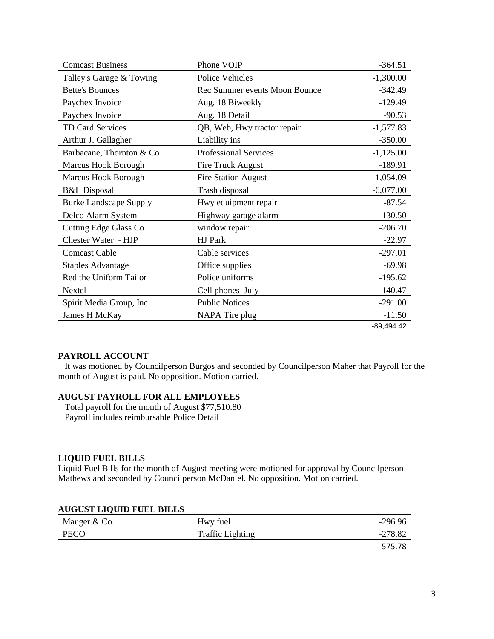| <b>Comcast Business</b>       | Phone VOIP                    | $-364.51$    |
|-------------------------------|-------------------------------|--------------|
| Talley's Garage & Towing      | <b>Police Vehicles</b>        | $-1,300.00$  |
| <b>Bette's Bounces</b>        | Rec Summer events Moon Bounce | $-342.49$    |
| Paychex Invoice               | Aug. 18 Biweekly              | $-129.49$    |
| Paychex Invoice               | Aug. 18 Detail                | $-90.53$     |
| <b>TD Card Services</b>       | QB, Web, Hwy tractor repair   | $-1,577.83$  |
| Arthur J. Gallagher           | Liability ins                 | $-350.00$    |
| Barbacane, Thornton & Co      | <b>Professional Services</b>  | $-1,125.00$  |
| <b>Marcus Hook Borough</b>    | <b>Fire Truck August</b>      | $-189.91$    |
| Marcus Hook Borough           | <b>Fire Station August</b>    | $-1,054.09$  |
| <b>B&amp;L</b> Disposal       | Trash disposal                | $-6,077.00$  |
| <b>Burke Landscape Supply</b> | Hwy equipment repair          | $-87.54$     |
| Delco Alarm System            | Highway garage alarm          | $-130.50$    |
| <b>Cutting Edge Glass Co</b>  | window repair                 | $-206.70$    |
| Chester Water - HJP           | HJ Park                       | $-22.97$     |
| <b>Comcast Cable</b>          | Cable services                | $-297.01$    |
| <b>Staples Advantage</b>      | Office supplies               | $-69.98$     |
| Red the Uniform Tailor        | Police uniforms               | $-195.62$    |
| Nextel                        | Cell phones July              | $-140.47$    |
| Spirit Media Group, Inc.      | <b>Public Notices</b>         | $-291.00$    |
| James H McKay                 | NAPA Tire plug                | $-11.50$     |
|                               |                               | $-89,494.42$ |

### **PAYROLL ACCOUNT**

 It was motioned by Councilperson Burgos and seconded by Councilperson Maher that Payroll for the month of August is paid. No opposition. Motion carried.

## **AUGUST PAYROLL FOR ALL EMPLOYEES**

 Total payroll for the month of August \$77,510.80 Payroll includes reimbursable Police Detail

#### **LIQUID FUEL BILLS**

Liquid Fuel Bills for the month of August meeting were motioned for approval by Councilperson Mathews and seconded by Councilperson McDaniel. No opposition. Motion carried.

#### **AUGUST LIQUID FUEL BILLS**

| Mauger & Co. | Hwy fuel                | $-296.96$ |
|--------------|-------------------------|-----------|
| PECO         | <b>Traffic Lighting</b> | $-278.82$ |
|              |                         | $-575.78$ |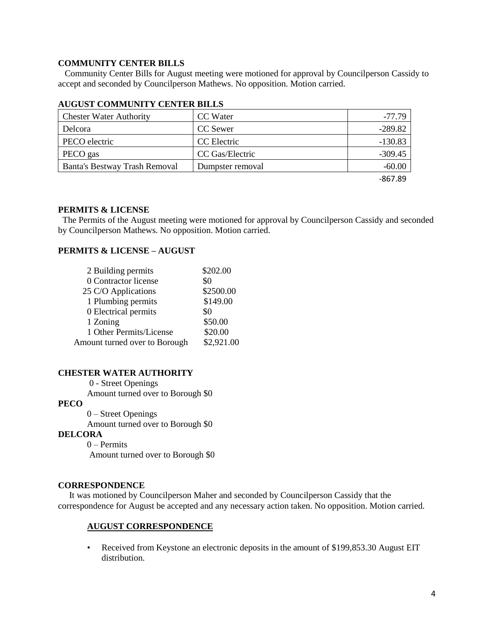### **COMMUNITY CENTER BILLS**

 Community Center Bills for August meeting were motioned for approval by Councilperson Cassidy to accept and seconded by Councilperson Mathews. No opposition. Motion carried.

| <b>Chester Water Authority</b> | CC Water         | $-77.79$  |
|--------------------------------|------------------|-----------|
| Delcora                        | CC Sewer         | $-289.82$ |
| PECO electric                  | CC Electric      | $-130.83$ |
| PECO gas                       | CC Gas/Electric  | $-309.45$ |
| Banta's Bestway Trash Removal  | Dumpster removal | $-60.00$  |
|                                |                  | -867.89   |

### **AUGUST COMMUNITY CENTER BILLS**

#### **PERMITS & LICENSE**

The Permits of the August meeting were motioned for approval by Councilperson Cassidy and seconded by Councilperson Mathews. No opposition. Motion carried.

## **PERMITS & LICENSE – AUGUST**

| 2 Building permits            | \$202.00   |
|-------------------------------|------------|
| 0 Contractor license          | \$0        |
| 25 C/O Applications           | \$2500.00  |
| 1 Plumbing permits            | \$149.00   |
| 0 Electrical permits          | \$0        |
| 1 Zoning                      | \$50.00    |
| 1 Other Permits/License       | \$20.00    |
| Amount turned over to Borough | \$2,921.00 |

#### **CHESTER WATER AUTHORITY**

0 - Street Openings

Amount turned over to Borough \$0

### **PECO**

 0 – Street Openings Amount turned over to Borough \$0

#### **DELCORA**

0 – Permits Amount turned over to Borough \$0

#### **CORRESPONDENCE**

 It was motioned by Councilperson Maher and seconded by Councilperson Cassidy that the correspondence for August be accepted and any necessary action taken. No opposition. Motion carried.

### **AUGUST CORRESPONDENCE**

• Received from Keystone an electronic deposits in the amount of \$199,853.30 August EIT distribution.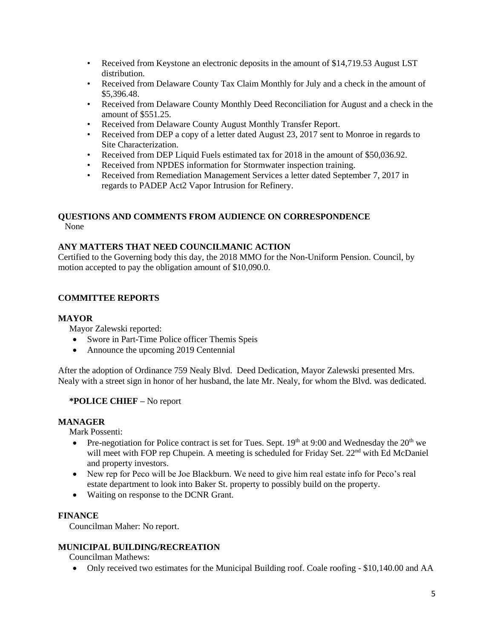- Received from Keystone an electronic deposits in the amount of \$14,719.53 August LST distribution.
- Received from Delaware County Tax Claim Monthly for July and a check in the amount of \$5,396.48.
- Received from Delaware County Monthly Deed Reconciliation for August and a check in the amount of \$551.25.
- Received from Delaware County August Monthly Transfer Report.
- Received from DEP a copy of a letter dated August 23, 2017 sent to Monroe in regards to Site Characterization.
- Received from DEP Liquid Fuels estimated tax for 2018 in the amount of \$50,036.92.
- Received from NPDES information for Stormwater inspection training.
- Received from Remediation Management Services a letter dated September 7, 2017 in regards to PADEP Act2 Vapor Intrusion for Refinery.

#### **QUESTIONS AND COMMENTS FROM AUDIENCE ON CORRESPONDENCE** None

# **ANY MATTERS THAT NEED COUNCILMANIC ACTION**

Certified to the Governing body this day, the 2018 MMO for the Non-Uniform Pension. Council, by motion accepted to pay the obligation amount of \$10,090.0.

# **COMMITTEE REPORTS**

### **MAYOR**

Mayor Zalewski reported:

- Swore in Part-Time Police officer Themis Speis
- Announce the upcoming 2019 Centennial

After the adoption of Ordinance 759 Nealy Blvd. Deed Dedication, Mayor Zalewski presented Mrs. Nealy with a street sign in honor of her husband, the late Mr. Nealy, for whom the Blvd. was dedicated.

# **\*POLICE CHIEF –** No report

# **MANAGER**

Mark Possenti:

- Pre-negotiation for Police contract is set for Tues. Sept.  $19<sup>th</sup>$  at 9:00 and Wednesday the  $20<sup>th</sup>$  we will meet with FOP rep Chupein. A meeting is scheduled for Friday Set. 22<sup>nd</sup> with Ed McDaniel and property investors.
- New rep for Peco will be Joe Blackburn. We need to give him real estate info for Peco's real estate department to look into Baker St. property to possibly build on the property.
- Waiting on response to the DCNR Grant.

## **FINANCE**

Councilman Maher: No report.

### **MUNICIPAL BUILDING/RECREATION**

Councilman Mathews:

Only received two estimates for the Municipal Building roof. Coale roofing - \$10,140.00 and AA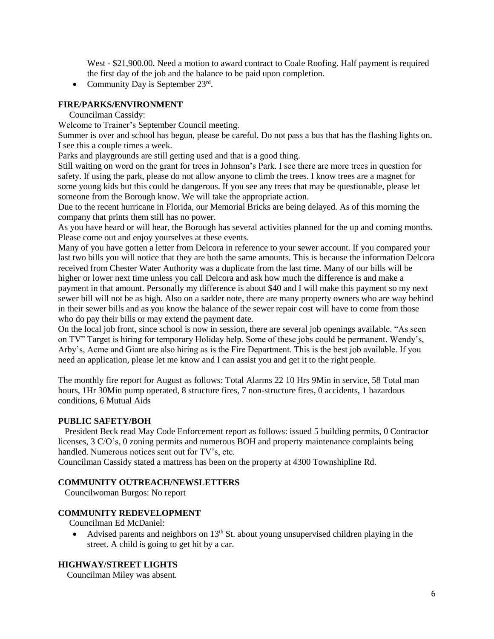West - \$21,900.00. Need a motion to award contract to Coale Roofing. Half payment is required the first day of the job and the balance to be paid upon completion.

• Community Day is September  $23<sup>rd</sup>$ .

### **FIRE/PARKS/ENVIRONMENT**

Councilman Cassidy:

Welcome to Trainer's September Council meeting.

Summer is over and school has begun, please be careful. Do not pass a bus that has the flashing lights on. I see this a couple times a week.

Parks and playgrounds are still getting used and that is a good thing.

Still waiting on word on the grant for trees in Johnson's Park. I see there are more trees in question for safety. If using the park, please do not allow anyone to climb the trees. I know trees are a magnet for some young kids but this could be dangerous. If you see any trees that may be questionable, please let someone from the Borough know. We will take the appropriate action.

Due to the recent hurricane in Florida, our Memorial Bricks are being delayed. As of this morning the company that prints them still has no power.

As you have heard or will hear, the Borough has several activities planned for the up and coming months. Please come out and enjoy yourselves at these events.

Many of you have gotten a letter from Delcora in reference to your sewer account. If you compared your last two bills you will notice that they are both the same amounts. This is because the information Delcora received from Chester Water Authority was a duplicate from the last time. Many of our bills will be higher or lower next time unless you call Delcora and ask how much the difference is and make a payment in that amount. Personally my difference is about \$40 and I will make this payment so my next sewer bill will not be as high. Also on a sadder note, there are many property owners who are way behind in their sewer bills and as you know the balance of the sewer repair cost will have to come from those who do pay their bills or may extend the payment date.

On the local job front, since school is now in session, there are several job openings available. "As seen on TV" Target is hiring for temporary Holiday help. Some of these jobs could be permanent. Wendy's, Arby's, Acme and Giant are also hiring as is the Fire Department. This is the best job available. If you need an application, please let me know and I can assist you and get it to the right people.

The monthly fire report for August as follows: Total Alarms 22 10 Hrs 9Min in service, 58 Total man hours, 1Hr 30Min pump operated, 8 structure fires, 7 non-structure fires, 0 accidents, 1 hazardous conditions, 6 Mutual Aids

### **PUBLIC SAFETY/BOH**

 President Beck read May Code Enforcement report as follows: issued 5 building permits, 0 Contractor licenses, 3 C/O's, 0 zoning permits and numerous BOH and property maintenance complaints being handled. Numerous notices sent out for TV's, etc.

Councilman Cassidy stated a mattress has been on the property at 4300 Townshipline Rd.

### **COMMUNITY OUTREACH/NEWSLETTERS**

Councilwoman Burgos: No report

## **COMMUNITY REDEVELOPMENT**

Councilman Ed McDaniel:

• Advised parents and neighbors on  $13<sup>th</sup>$  St. about young unsupervised children playing in the street. A child is going to get hit by a car.

### **HIGHWAY/STREET LIGHTS**

Councilman Miley was absent.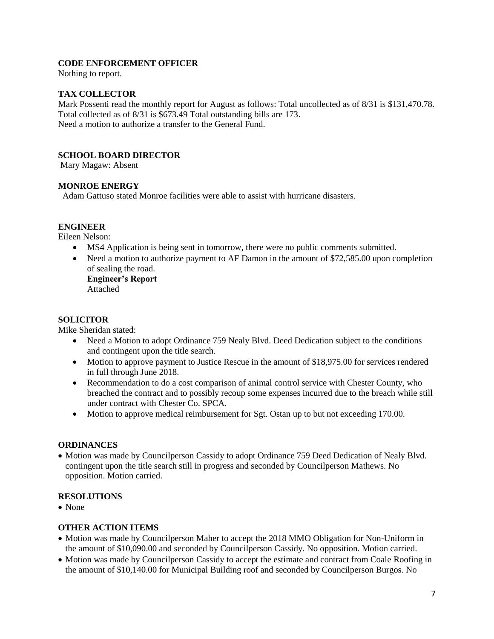## **CODE ENFORCEMENT OFFICER**

Nothing to report.

### **TAX COLLECTOR**

Mark Possenti read the monthly report for August as follows: Total uncollected as of 8/31 is \$131,470.78. Total collected as of 8/31 is \$673.49 Total outstanding bills are 173. Need a motion to authorize a transfer to the General Fund.

### **SCHOOL BOARD DIRECTOR**

Mary Magaw: Absent

### **MONROE ENERGY**

Adam Gattuso stated Monroe facilities were able to assist with hurricane disasters.

## **ENGINEER**

Eileen Nelson:

- MS4 Application is being sent in tomorrow, there were no public comments submitted.
- Need a motion to authorize payment to AF Damon in the amount of \$72,585.00 upon completion of sealing the road.

**Engineer's Report** Attached

### **SOLICITOR**

Mike Sheridan stated:

- Need a Motion to adopt Ordinance 759 Nealy Blvd. Deed Dedication subject to the conditions and contingent upon the title search.
- Motion to approve payment to Justice Rescue in the amount of \$18,975.00 for services rendered in full through June 2018.
- Recommendation to do a cost comparison of animal control service with Chester County, who breached the contract and to possibly recoup some expenses incurred due to the breach while still under contract with Chester Co. SPCA.
- Motion to approve medical reimbursement for Sgt. Ostan up to but not exceeding 170.00.

### **ORDINANCES**

• Motion was made by Councilperson Cassidy to adopt Ordinance 759 Deed Dedication of Nealy Blvd. contingent upon the title search still in progress and seconded by Councilperson Mathews. No opposition. Motion carried.

### **RESOLUTIONS**

• None

### **OTHER ACTION ITEMS**

- Motion was made by Councilperson Maher to accept the 2018 MMO Obligation for Non-Uniform in the amount of \$10,090.00 and seconded by Councilperson Cassidy. No opposition. Motion carried.
- Motion was made by Councilperson Cassidy to accept the estimate and contract from Coale Roofing in the amount of \$10,140.00 for Municipal Building roof and seconded by Councilperson Burgos. No